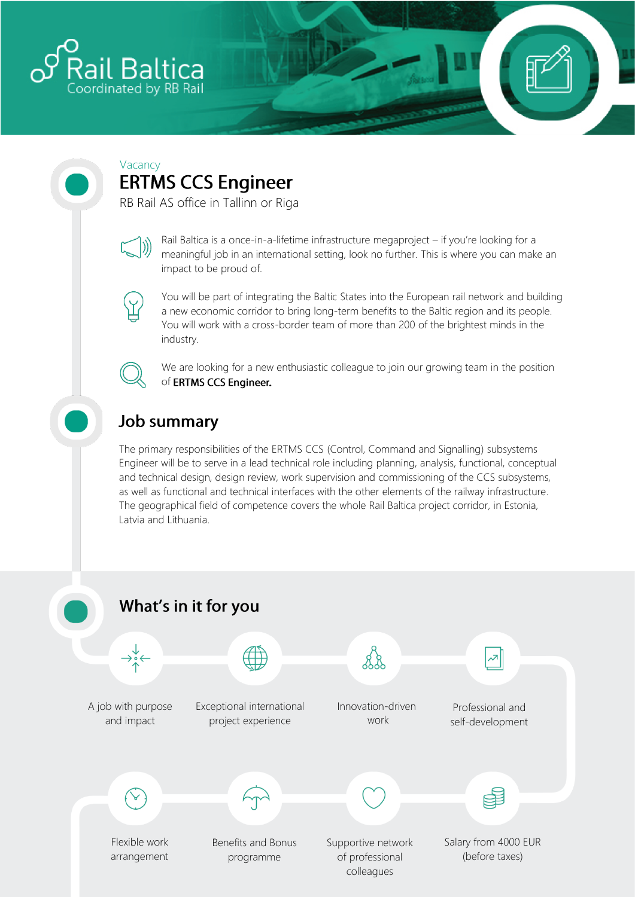

#### Vacancy **ERTMS CCS Engineer**

RB Rail AS office in Tallinn or Riga



Rail Baltica is a once-in-a-lifetime infrastructure megaproject – if you're looking for a meaningful job in an international setting, look no further. This is where you can make an impact to be proud of.



You will be part of integrating the Baltic States into the European rail network and building a new economic corridor to bring long-term benefits to the Baltic region and its people. You will work with a cross-border team of more than 200 of the brightest minds in the industry.



We are looking for a new enthusiastic colleague to join our growing team in the position of ERTMS CCS Engineer.

### **Job summary**

The primary responsibilities of the ERTMS CCS (Control, Command and Signalling) subsystems Engineer will be to serve in a lead technical role including planning, analysis, functional, conceptual and technical design, design review, work supervision and commissioning of the CCS subsystems, as well as functional and technical interfaces with the other elements of the railway infrastructure. The geographical field of competence covers the whole Rail Baltica project corridor, in Estonia, Latvia and Lithuania.